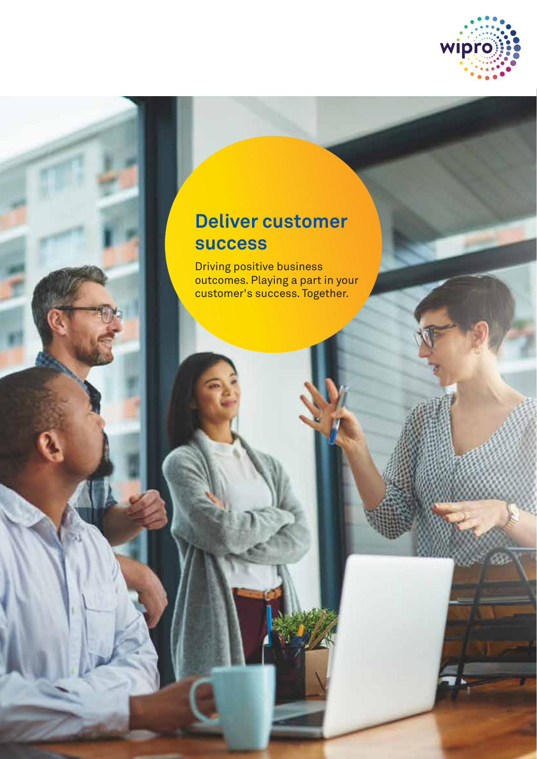

# **Deliver customer success**

Driving positive business outcomes. Playing a part in your customer's success. Together.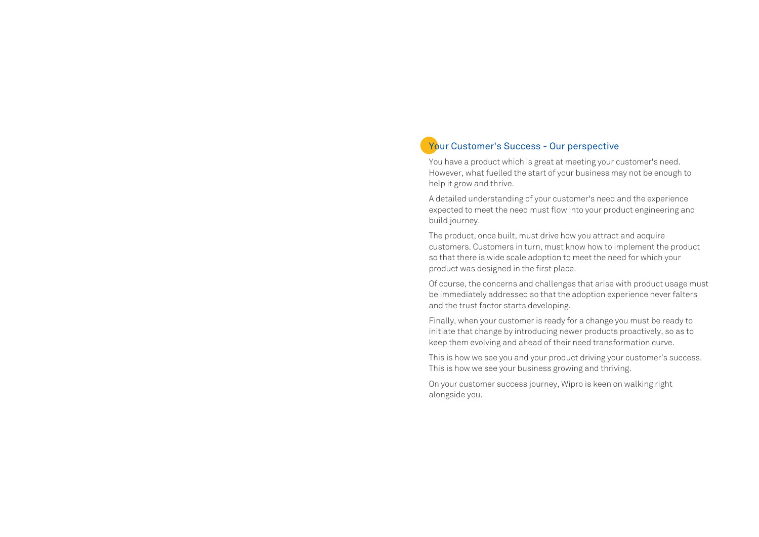## Your Customer's Success - Our perspective

You have a product which is great at meeting your customer's need. However, what fuelled the start of your business may not be enough to help it grow and thrive.

A detailed understanding of your customer's need and the experience expected to meet the need must flow into your product engineering and build journey.

The product, once built, must drive how you attract and acquire customers. Customers in turn, must know how to implement the product so that there is wide scale adoption to meet the need for which your product was designed in the first place.

Of course, the concerns and challenges that arise with product usage must be immediately addressed so that the adoption experience never falters and the trust factor starts developing.

Finally, when your customer is ready for a change you must be ready to initiate that change by introducing newer products proactively, so as to keep them evolving and ahead of their need transformation curve.

This is how we see you and your product driving your customer's success. This is how we see your business growing and thriving.

On your customer success journey, Wipro is keen on walking right alongside you.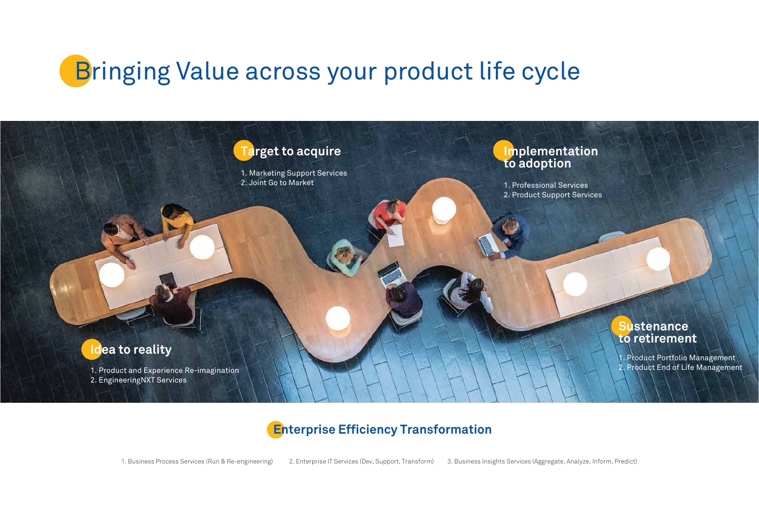# **Bringing Value across your product life cycle**



## **Sustenance to retirement**

Product Portfolio Management Product End of Life Management

1. Business Process Services (Run & Re-engineering) 2. Enterprise IT Services (Dev, Support, Transform) 3. Business Insights Services (Aggregate, Analyze, Inform, Predict)





## **Enterprise Efficiency Transformation**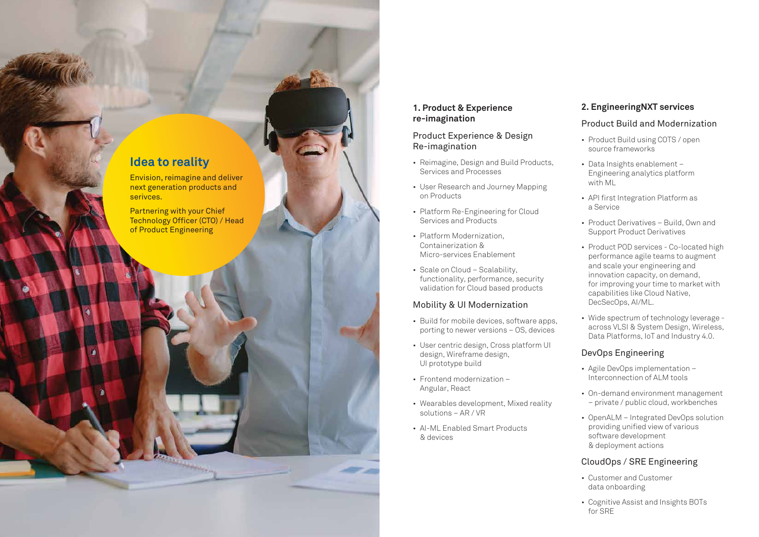#### **1. Product & Experience re-imagination**

#### Product Experience & Design Re-imagination

- Reimagine, Design and Build Products, Services and Processes
- User Research and Journey Mapping on Products
- Platform Re-Engineering for Cloud Services and Products
- Platform Modernization, Containerization & Micro-services Enablement
- Scale on Cloud Scalability, functionality, performance, security validation for Cloud based products

#### Mobility & UI Modernization

- Build for mobile devices, software apps, porting to newer versions – OS, devices
- User centric design, Cross platform UI design, Wireframe design, UI prototype build
- Frontend modernization Angular, React
- Wearables development, Mixed reality solutions – AR / VR
- AI-ML Enabled Smart Products & devices

## **2. EngineeringNXT services**

#### Product Build and Modernization

- Product Build using COTS / open source frameworks
- Data Insights enablement Engineering analytics platform with ML
- API first Integration Platform as a Service
- Product Derivatives Build, Own and Support Product Derivatives
- Product POD services Co-located high performance agile teams to augment and scale your engineering and innovation capacity, on demand, for improving your time to market with capabilities like Cloud Native, DecSecOps, AI/ML.
- Wide spectrum of technology leverage across VLSI & System Design, Wireless, Data Platforms, IoT and Industry 4.0.

#### DevOps Engineering

- Agile DevOps implementation Interconnection of ALM tools
- On-demand environment management – private / public cloud, workbenches
- OpenALM Integrated DevOps solution providing unified view of various software development & deployment actions

#### CloudOps / SRE Engineering

- Customer and Customer data onboarding
- Cognitive Assist and Insights BOTs for SRE

## **Idea to reality**

Envision, reimagine and deliver next generation products and serivces.

Partnering with your Chief Technology Officer (CTO) / Head of Product Engineering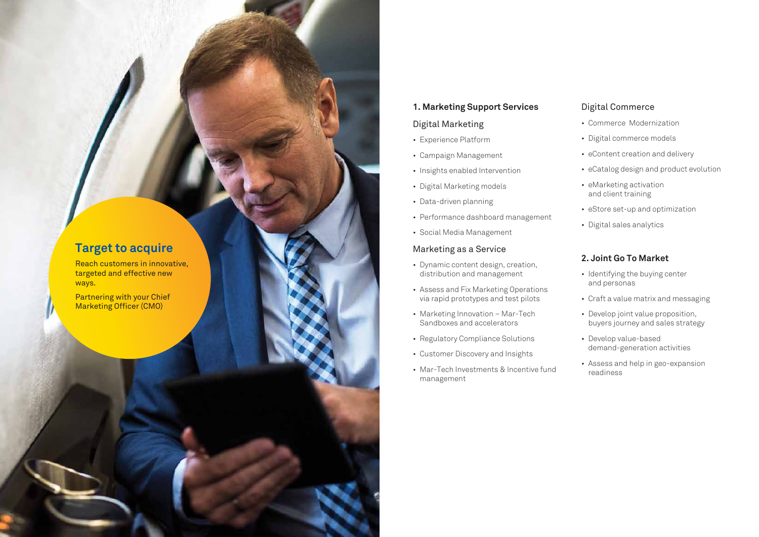#### **1. Marketing Support Services**

#### Digital Marketing

- Experience Platform
- Campaign Management
- Insights enabled Intervention
- Digital Marketing models
- Data-driven planning
- Performance dashboard management
- Social Media Management

#### Marketing as a Service

- Dynamic content design, creation, distribution and management
- Assess and Fix Marketing Operations via rapid prototypes and test pilots
- Marketing Innovation Mar-Tech Sandboxes and accelerators
- Regulatory Compliance Solutions
- Customer Discovery and Insights
- Mar-Tech Investments & Incentive fund management

#### Digital Commerce

- Commerce Modernization
- Digital commerce models
- eContent creation and delivery
- eCatalog design and product evolution
- eMarketing activation and client training
- eStore set-up and optimization
- Digital sales analytics

#### **2. Joint Go To Market**

- Identifying the buying center and personas
- Craft a value matrix and messaging
- Develop joint value proposition, buyers journey and sales strategy
- Develop value-based demand-generation activities
- Assess and help in geo-expansion readiness

## **Target to acquire**

Reach customers in innovative, targeted and effective new ways.

Partnering with your Chief Marketing Officer (CMO)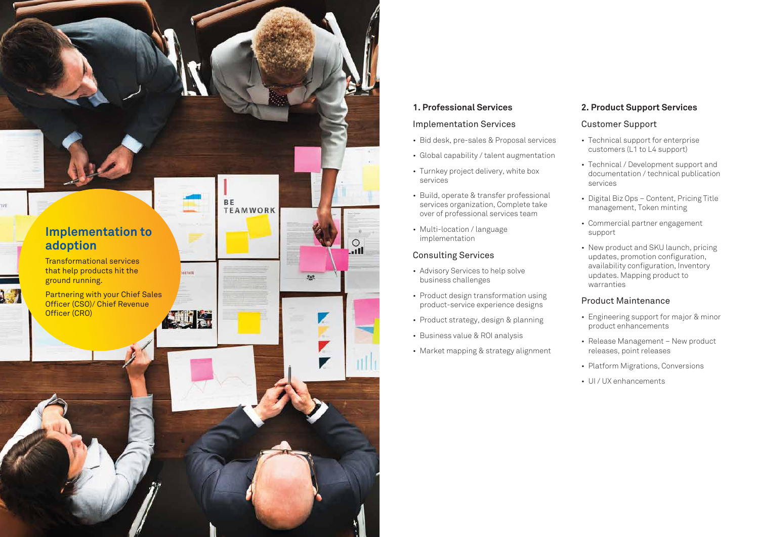#### **1. Professional Services**

#### Implementation Services

- Bid desk, pre-sales & Proposal services
- Global capability / talent augmentation
- Turnkey project delivery, white box services
- Build, operate & transfer professional services organization, Complete take over of professional services team
- Multi-location / language implementation

#### Consulting Services

- Advisory Services to help solve business challenges
- Product design transformation using product-service experience designs
- Product strategy, design & planning
- Business value & ROI analysis
- Market mapping & strategy alignment

### **2. Product Support Services**

#### Customer Support

- Technical support for enterprise customers (L1 to L4 support)
- Technical / Development support and documentation / technical publication services
- Digital Biz Ops Content, Pricing Title management, Token minting
- Commercial partner engagement support
- New product and SKU launch, pricing updates, promotion configuration, availability configuration, Inventory updates. Mapping product to warranties

#### Product Maintenance

- Engineering support for major & minor product enhancements
- Release Management New product releases, point releases
- Platform Migrations, Conversions
- UI / UX enhancements

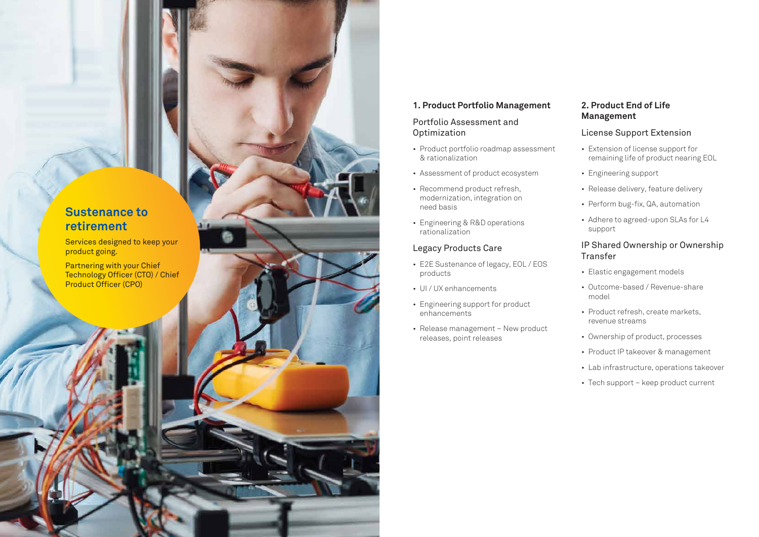#### **1. Product Portfolio Management**

#### Portfolio Assessment and **Optimization**

- Product portfolio roadmap assessment & rationalization
- Assessment of product ecosystem
- Recommend product refresh, modernization, integration on need basis
- Engineering & R&D operations rationalization

#### Legacy Products Care

- E2E Sustenance of legacy, EOL / EOS products
- UI / UX enhancements
- Engineering support for product enhancements
- Release management New product releases, point releases

#### **2. Product End of Life Management**

#### License Support Extension

- Extension of license support for remaining life of product nearing EOL
- Engineering support
- Release delivery, feature delivery
- Perform bug-fix, QA, automation
- Adhere to agreed-upon SLAs for L4 support

#### IP Shared Ownership or Ownership Transfer

- Elastic engagement models
- Outcome-based / Revenue-share model
- Product refresh, create markets, revenue streams
- Ownership of product, processes
- Product IP takeover & management
- Lab infrastructure, operations takeover
- Tech support keep product current

## **Sustenance to retirement**

Services designed to keep your product going.

Partnering with your Chief Technology Officer (CTO) / Chief Product Officer (CPO)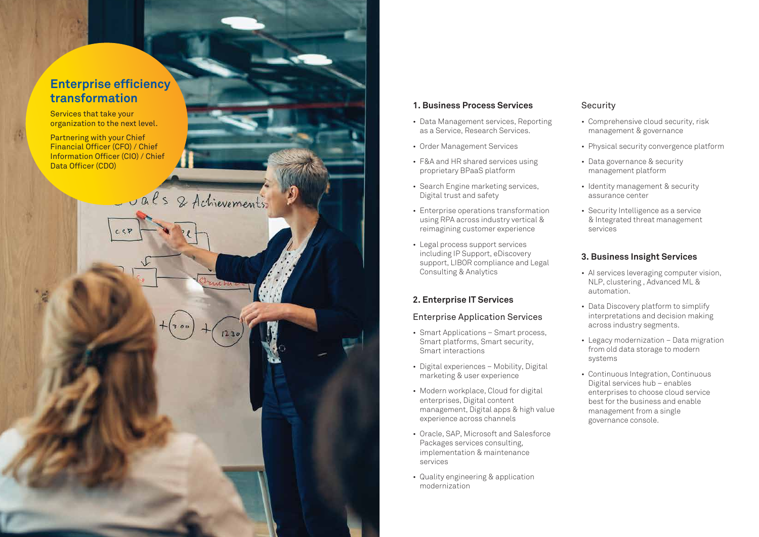## **Enterprise efficiency transformation**

Services that take your organization to the next level.

Partnering with your Chief Financial Officer (CFO) / Chief Information Officer (CIO) / Chief Data Officer (CDO)

als & Achievements

#### **1. Business Process Services**

- Data Management services, Reporting as a Service, Research Services.
- Order Management Services
- F&A and HR shared services using proprietary BPaaS platform
- Search Engine marketing services, Digital trust and safety
- Enterprise operations transformation using RPA across industry vertical & reimagining customer experience
- Legal process support services including IP Support, eDiscovery support, LIBOR compliance and Legal Consulting & Analytics

#### **2. Enterprise IT Services**

#### Enterprise Application Services

- Smart Applications Smart process, Smart platforms, Smart security, Smart interactions
- Digital experiences Mobility, Digital marketing & user experience
- Modern workplace, Cloud for digital enterprises, Digital content management, Digital apps & high value experience across channels
- Oracle, SAP, Microsoft and Salesforce Packages services consulting, implementation & maintenance services
- Quality engineering & application modernization

#### **Security**

- Comprehensive cloud security, risk management & governance
- Physical security convergence platform
- Data governance & security management platform
- Identity management & security assurance center
- Security Intelligence as a service & Integrated threat management services

#### **3. Business Insight Services**

- AI services leveraging computer vision, NLP, clustering , Advanced ML & automation.
- Data Discovery platform to simplify interpretations and decision making across industry segments.
- Legacy modernization Data migration from old data storage to modern systems
- Continuous Integration, Continuous Digital services hub – enables enterprises to choose cloud service best for the business and enable management from a single governance console.